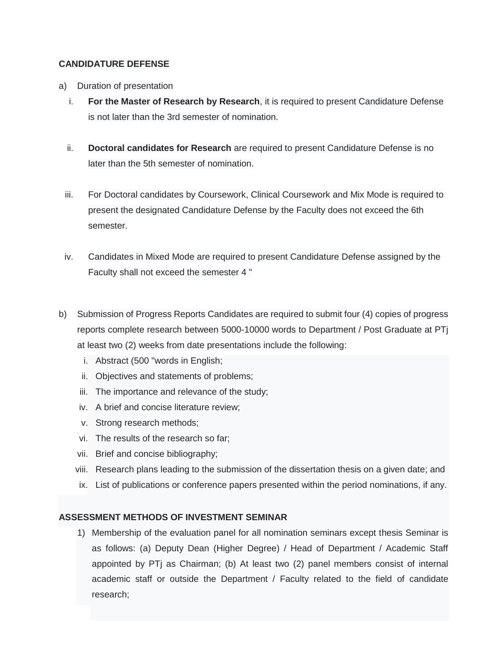## **CANDIDATURE DEFENSE**

- a) Duration of presentation
	- i. **For the Master of Research by Research**, it is required to present Candidature Defense is not later than the 3rd semester of nomination.
	- ii. **Doctoral candidates for Research** are required to present Candidature Defense is no later than the 5th semester of nomination.
	- iii. For Doctoral candidates by Coursework, Clinical Coursework and Mix Mode is required to present the designated Candidature Defense by the Faculty does not exceed the 6th semester.
	- iv. Candidates in Mixed Mode are required to present Candidature Defense assigned by the Faculty shall not exceed the semester 4 "
- b) Submission of Progress Reports Candidates are required to submit four (4) copies of progress reports complete research between 5000-10000 words to Department / Post Graduate at PTj at least two (2) weeks from date presentations include the following:
	- i. Abstract (500 "words in English;
	- ii. Objectives and statements of problems;
	- iii. The importance and relevance of the study;
	- iv. A brief and concise literature review;
	- v. Strong research methods;
	- vi. The results of the research so far;
	- vii. Brief and concise bibliography;
	- viii. Research plans leading to the submission of the dissertation thesis on a given date; and
	- ix. List of publications or conference papers presented within the period nominations, if any.

## **ASSESSMENT METHODS OF INVESTMENT SEMINAR**

1) Membership of the evaluation panel for all nomination seminars except thesis Seminar is as follows: (a) Deputy Dean (Higher Degree) / Head of Department / Academic Staff appointed by PTj as Chairman; (b) At least two (2) panel members consist of internal academic staff or outside the Department / Faculty related to the field of candidate research;